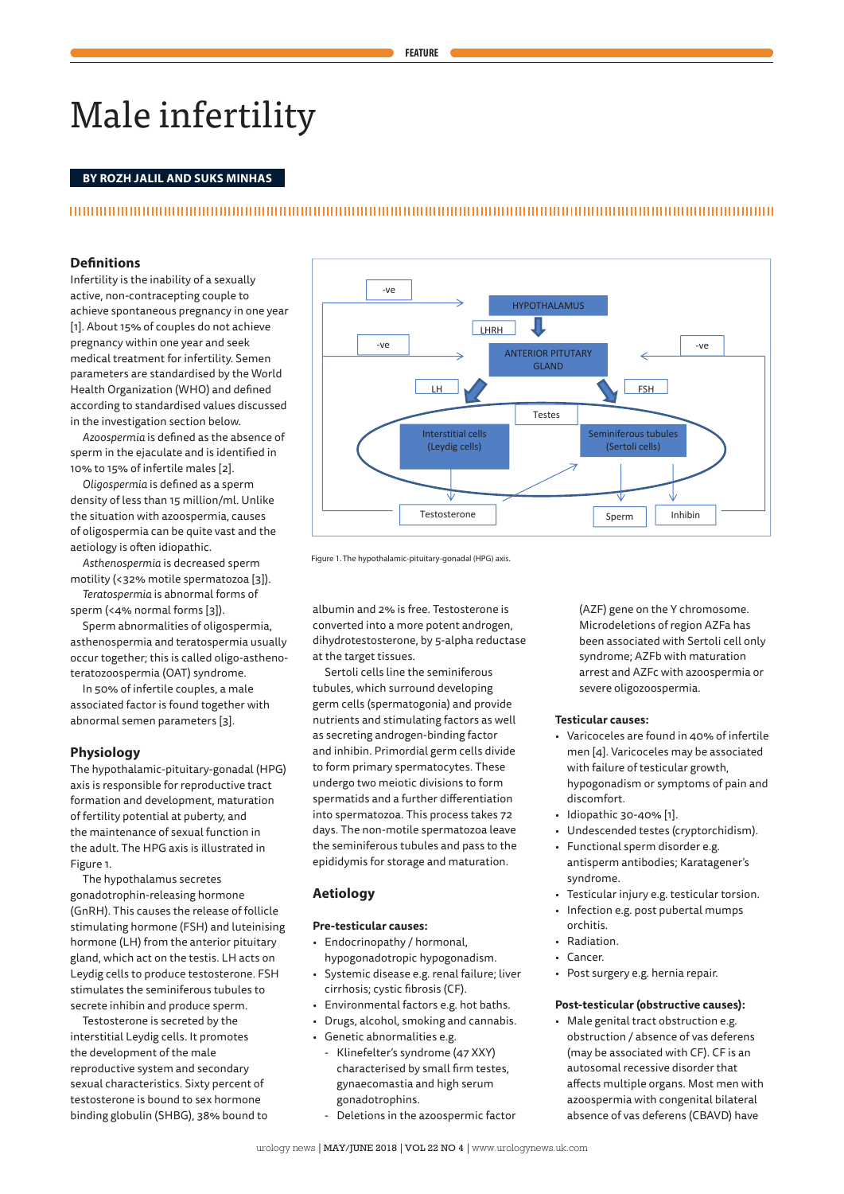# Male infertility

## **BY ROZH JALIL AND SUKS MINHAS**

## **Figure 1: The Hypothalamus-Pitutary-Gonadal axis**

## **Definitions**

Infertility is the inability of a sexually active, non-contracepting couple to achieve spontaneous pregnancy in one year [1]. About 15% of couples do not achieve pregnancy within one year and seek medical treatment for infertility. Semen parameters are standardised by the World Health Organization (WHO) and defined according to standardised values discussed in the investigation section below.

*Azoospermia* is defined as the absence of sperm in the ejaculate and is identified in 10% to 15% of infertile males [2].

*Oligospermia* is defined as a sperm density of less than 15 million/ml. Unlike the situation with azoospermia, causes of oligospermia can be quite vast and the aetiology is often idiopathic.

*Asthenospermia* is decreased sperm motility (<32% motile spermatozoa [3]). *Teratospermia* is abnormal forms of

sperm (<4% normal forms [3]).

Sperm abnormalities of oligospermia, asthenospermia and teratospermia usually occur together; this is called oligo-asthenoteratozoospermia (OAT) syndrome.

In 50% of infertile couples, a male associated factor is found together with abnormal semen parameters [3].

## **Physiology**

The hypothalamic-pituitary-gonadal (HPG) axis is responsible for reproductive tract formation and development, maturation of fertility potential at puberty, and the maintenance of sexual function in the adult. The HPG axis is illustrated in Figure 1.

The hypothalamus secretes gonadotrophin-releasing hormone (GnRH). This causes the release of follicle stimulating hormone (FSH) and luteinising hormone (LH) from the anterior pituitary gland, which act on the testis. LH acts on Leydig cells to produce testosterone. FSH stimulates the seminiferous tubules to secrete inhibin and produce sperm.

Testosterone is secreted by the interstitial Leydig cells. It promotes the development of the male reproductive system and secondary sexual characteristics. Sixty percent of testosterone is bound to sex hormone binding globulin (SHBG), 38% bound to



Figure 1. The hypothalamic-pituitary-gonadal (HPG) axis.

albumin and 2% is free. Testosterone is converted into a more potent androgen, dihydrotestosterone, by 5-alpha reductase at the target tissues.

Sertoli cells line the seminiferous tubules, which surround developing germ cells (spermatogonia) and provide nutrients and stimulating factors as well as secreting androgen-binding factor and inhibin. Primordial germ cells divide to form primary spermatocytes. These undergo two meiotic divisions to form spermatids and a further differentiation into spermatozoa. This process takes 72 days. The non-motile spermatozoa leave the seminiferous tubules and pass to the epididymis for storage and maturation.

#### **Aetiology**

#### **Pre-testicular causes:**

- Endocrinopathy / hormonal, hypogonadotropic hypogonadism.
- Systemic disease e.g. renal failure; liver cirrhosis; cystic fibrosis (CF).
- Environmental factors e.g. hot baths.
- Drugs, alcohol, smoking and cannabis.
- Genetic abnormalities e.g.
- Klinefelter's syndrome (47 XXY) characterised by small firm testes, gynaecomastia and high serum gonadotrophins.
- Deletions in the azoospermic factor

(AZF) gene on the Y chromosome. Microdeletions of region AZFa has been associated with Sertoli cell only syndrome; AZFb with maturation arrest and AZFc with azoospermia or severe oligozoospermia.

## **Testicular causes:**

- Varicoceles are found in 40% of infertile men [4]. Varicoceles may be associated with failure of testicular growth, hypogonadism or symptoms of pain and discomfort.
- Idiopathic 30-40% [1].
- Undescended testes (cryptorchidism).
- Functional sperm disorder e.g. antisperm antibodies; Karatagener's syndrome.
- Testicular injury e.g. testicular torsion.
- Infection e.g. post pubertal mumps orchitis.
- Radiation.
- Cancer.
- Post surgery e.g. hernia repair.

#### **Post-testicular (obstructive causes):**

• Male genital tract obstruction e.g. obstruction / absence of vas deferens (may be associated with CF). CF is an autosomal recessive disorder that affects multiple organs. Most men with azoospermia with congenital bilateral absence of vas deferens (CBAVD) have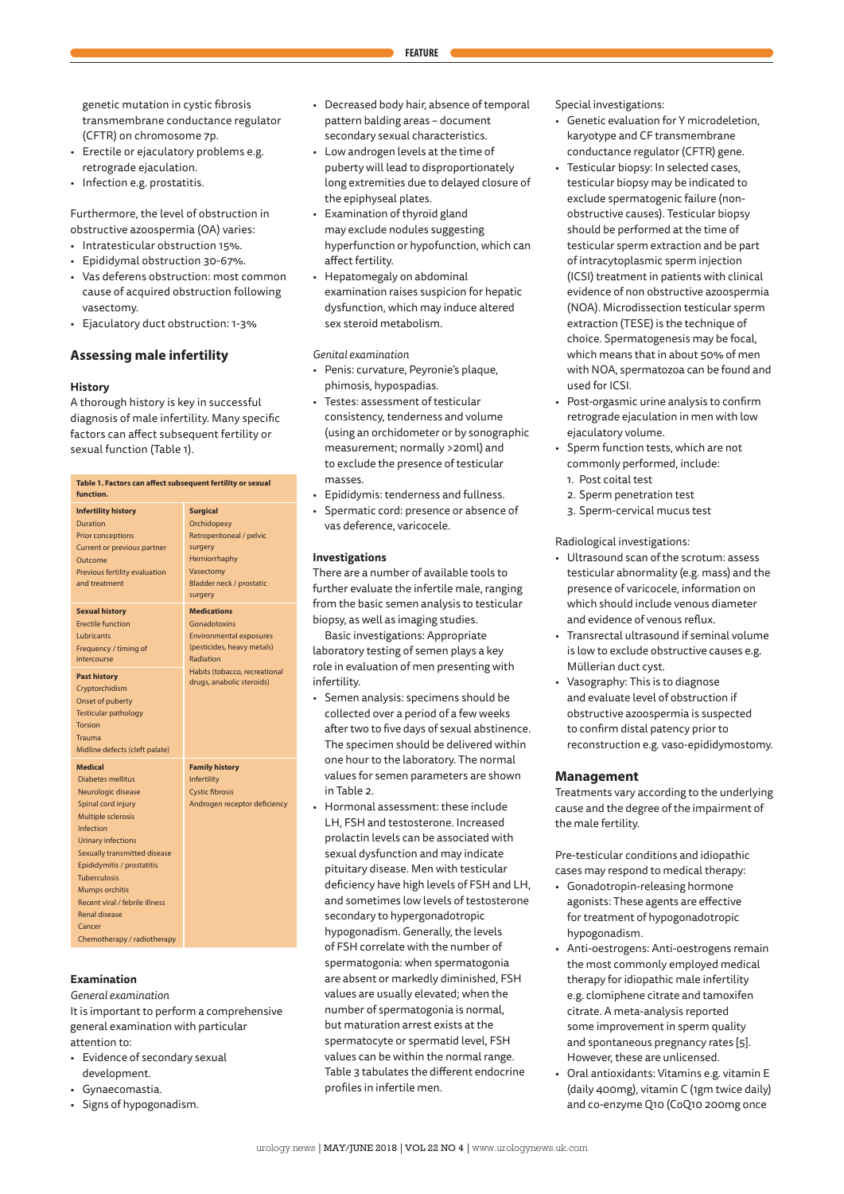genetic mutation in cystic fibrosis transmembrane conductance regulator (CFTR) on chromosome 7p.

- Erectile or ejaculatory problems e.g. retrograde ejaculation.
- Infection e.g. prostatitis.

Furthermore, the level of obstruction in obstructive azoospermia (OA) varies:

- Intratesticular obstruction 15%.
- Epididymal obstruction 30-67%.
- Vas deferens obstruction: most common cause of acquired obstruction following vasectomy.
- Ejaculatory duct obstruction: 1-3%

## **Assessing male infertility**

#### **History**

A thorough history is key in successful diagnosis of male infertility. Many specific factors can affect subsequent fertility or sexual function (Table 1).

| Table 1. Factors can affect subsequent fertility or sexual<br>function. |                                |  |  |  |
|-------------------------------------------------------------------------|--------------------------------|--|--|--|
| <b>Infertility history</b>                                              | <b>Surgical</b>                |  |  |  |
| <b>Duration</b>                                                         | Orchidopexy                    |  |  |  |
| <b>Prior conceptions</b>                                                | Retroperitoneal / pelvic       |  |  |  |
| Current or previous partner                                             | surgery                        |  |  |  |
| Outcome                                                                 | Herniorrhaphy                  |  |  |  |
| Previous fertility evaluation                                           | Vasectomy                      |  |  |  |
| and treatment                                                           | Bladder neck / prostatic       |  |  |  |
|                                                                         | surgery                        |  |  |  |
| <b>Sexual history</b>                                                   | <b>Medications</b>             |  |  |  |
| <b>Erectile function</b>                                                | Gonadotoxins                   |  |  |  |
| Lubricants                                                              | <b>Environmental exposures</b> |  |  |  |
| Frequency / timing of                                                   | (pesticides, heavy metals)     |  |  |  |
| intercourse                                                             | Radiation                      |  |  |  |
| <b>Past history</b>                                                     | Habits (tobacco, recreational  |  |  |  |
| Cryptorchidism                                                          | drugs, anabolic steroids)      |  |  |  |
| Onset of puberty                                                        |                                |  |  |  |
| <b>Testicular pathology</b>                                             |                                |  |  |  |
| <b>Torsion</b>                                                          |                                |  |  |  |
| Trauma                                                                  |                                |  |  |  |
| Midline defects (cleft palate)                                          |                                |  |  |  |
| <b>Medical</b>                                                          | <b>Family history</b>          |  |  |  |
| <b>Diabetes mellitus</b>                                                | Infertility                    |  |  |  |
| Neurologic disease                                                      | <b>Cystic fibrosis</b>         |  |  |  |
| Spinal cord injury                                                      | Androgen receptor deficiency   |  |  |  |
| <b>Multiple sclerosis</b>                                               |                                |  |  |  |
| Infection                                                               |                                |  |  |  |
| <b>Urinary infections</b>                                               |                                |  |  |  |
| Sexually transmitted disease                                            |                                |  |  |  |
| Epididymitis / prostatitis                                              |                                |  |  |  |
| <b>Tuberculosis</b>                                                     |                                |  |  |  |
| <b>Mumps orchitis</b>                                                   |                                |  |  |  |
| Recent viral / febrile illness                                          |                                |  |  |  |
| <b>Renal disease</b>                                                    |                                |  |  |  |
| Cancer                                                                  |                                |  |  |  |
| Chemotherapy / radiotherapy                                             |                                |  |  |  |

#### **Examination**

*General examination*

It is important to perform a comprehensive general examination with particular attention to:

- Evidence of secondary sexual development.
- Gynaecomastia.
- Signs of hypogonadism.
- Decreased body hair, absence of temporal pattern balding areas – document secondary sexual characteristics.
- Low androgen levels at the time of puberty will lead to disproportionately long extremities due to delayed closure of the epiphyseal plates.
- Examination of thyroid gland may exclude nodules suggesting hyperfunction or hypofunction, which can affect fertility.
- Hepatomegaly on abdominal examination raises suspicion for hepatic dysfunction, which may induce altered sex steroid metabolism.

*Genital examination*

- Penis: curvature, Peyronie's plaque, phimosis, hypospadias.
- Testes: assessment of testicular consistency, tenderness and volume (using an orchidometer or by sonographic measurement; normally >20ml) and to exclude the presence of testicular masses.
- Epididymis: tenderness and fullness.
- Spermatic cord: presence or absence of vas deference, varicocele.

#### **Investigations**

There are a number of available tools to further evaluate the infertile male, ranging from the basic semen analysis to testicular biopsy, as well as imaging studies.

Basic investigations: Appropriate laboratory testing of semen plays a key role in evaluation of men presenting with infertility.

- Semen analysis: specimens should be collected over a period of a few weeks after two to five days of sexual abstinence. The specimen should be delivered within one hour to the laboratory. The normal values for semen parameters are shown in Table 2.
- Hormonal assessment: these include LH, FSH and testosterone. Increased prolactin levels can be associated with sexual dysfunction and may indicate pituitary disease. Men with testicular deficiency have high levels of FSH and LH, and sometimes low levels of testosterone secondary to hypergonadotropic hypogonadism. Generally, the levels of FSH correlate with the number of spermatogonia: when spermatogonia are absent or markedly diminished, FSH values are usually elevated; when the number of spermatogonia is normal, but maturation arrest exists at the spermatocyte or spermatid level, FSH values can be within the normal range. Table 3 tabulates the different endocrine profiles in infertile men.

Special investigations:

- Genetic evaluation for Y microdeletion, karyotype and CF transmembrane conductance regulator (CFTR) gene.
- Testicular biopsy: In selected cases, testicular biopsy may be indicated to exclude spermatogenic failure (nonobstructive causes). Testicular biopsy should be performed at the time of testicular sperm extraction and be part of intracytoplasmic sperm injection (ICSI) treatment in patients with clinical evidence of non obstructive azoospermia (NOA). Microdissection testicular sperm extraction (TESE) is the technique of choice. Spermatogenesis may be focal, which means that in about 50% of men with NOA, spermatozoa can be found and used for ICSI.
- Post-orgasmic urine analysis to confirm retrograde ejaculation in men with low ejaculatory volume.
- Sperm function tests, which are not commonly performed, include: 1. Post coital test
	- 2. Sperm penetration test
	- 3. Sperm-cervical mucus test

#### Radiological investigations:

- Ultrasound scan of the scrotum: assess testicular abnormality (e.g. mass) and the presence of varicocele, information on which should include venous diameter and evidence of venous reflux.
- Transrectal ultrasound if seminal volume is low to exclude obstructive causes e.g. Müllerian duct cyst.
- Vasography: This is to diagnose and evaluate level of obstruction if obstructive azoospermia is suspected to confirm distal patency prior to reconstruction e.g. vaso-epididymostomy.

### **Management**

Treatments vary according to the underlying cause and the degree of the impairment of the male fertility.

Pre-testicular conditions and idiopathic cases may respond to medical therapy:

- Gonadotropin-releasing hormone agonists: These agents are effective for treatment of hypogonadotropic hypogonadism.
- Anti-oestrogens: Anti-oestrogens remain the most commonly employed medical therapy for idiopathic male infertility e.g. clomiphene citrate and tamoxifen citrate. A meta-analysis reported some improvement in sperm quality and spontaneous pregnancy rates [5]. However, these are unlicensed.
- Oral antioxidants: Vitamins e.g. vitamin E (daily 400mg), vitamin C (1gm twice daily) and co-enzyme Q10 (CoQ10 200mg once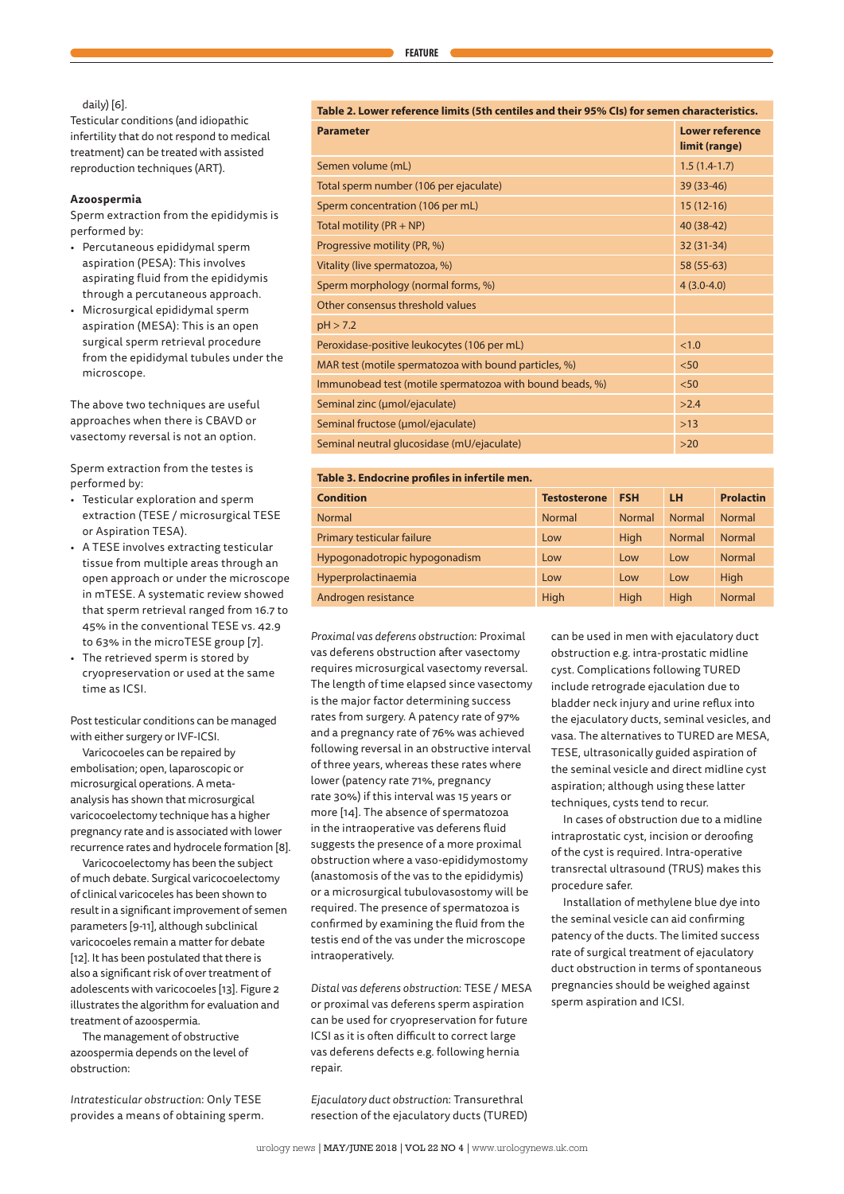## daily) [6].

Testicular conditions (and idiopathic infertility that do not respond to medical treatment) can be treated with assisted reproduction techniques (ART).

## **Azoospermia**

Sperm extraction from the epididymis is performed by:

- Percutaneous epididymal sperm aspiration (PESA): This involves aspirating fluid from the epididymis through a percutaneous approach.
- Microsurgical epididymal sperm aspiration (MESA): This is an open surgical sperm retrieval procedure from the epididymal tubules under the microscope.

The above two techniques are useful approaches when there is CBAVD or vasectomy reversal is not an option.

Sperm extraction from the testes is performed by:

- Testicular exploration and sperm extraction (TESE / microsurgical TESE or Aspiration TESA).
- A TESE involves extracting testicular tissue from multiple areas through an open approach or under the microscope in mTESE. A systematic review showed that sperm retrieval ranged from 16.7 to 45% in the conventional TESE vs. 42.9 to 63% in the microTESE group [7].
- The retrieved sperm is stored by cryopreservation or used at the same time as ICSI.

Post testicular conditions can be managed with either surgery or IVF-ICSI.

Varicocoeles can be repaired by embolisation; open, laparoscopic or microsurgical operations. A metaanalysis has shown that microsurgical varicocoelectomy technique has a higher pregnancy rate and is associated with lower recurrence rates and hydrocele formation [8].

Varicocoelectomy has been the subject of much debate. Surgical varicocoelectomy of clinical varicoceles has been shown to result in a significant improvement of semen parameters [9-11], although subclinical varicocoeles remain a matter for debate [12]. It has been postulated that there is also a significant risk of over treatment of adolescents with varicocoeles [13]. Figure 2 illustrates the algorithm for evaluation and treatment of azoospermia.

The management of obstructive azoospermia depends on the level of obstruction:

*Intratesticular obstruction*: Only TESE provides a means of obtaining sperm. **Table 2. Lower reference limits (5th centiles and their 95% CIs) for semen characteristics.**

| <b>Parameter</b>                                         | Lower reference<br>limit (range) |
|----------------------------------------------------------|----------------------------------|
| Semen volume (mL)                                        | $1.5(1.4-1.7)$                   |
| Total sperm number (106 per ejaculate)                   | 39 (33-46)                       |
| Sperm concentration (106 per mL)                         | $15(12-16)$                      |
| Total motility $(PR + NP)$                               | 40 (38-42)                       |
| Progressive motility (PR, %)                             | $32(31-34)$                      |
| Vitality (live spermatozoa, %)                           | 58 (55-63)                       |
| Sperm morphology (normal forms, %)                       | $4(3.0-4.0)$                     |
| Other consensus threshold values                         |                                  |
| pH > 7.2                                                 |                                  |
| Peroxidase-positive leukocytes (106 per mL)              | <1.0                             |
| MAR test (motile spermatozoa with bound particles, %)    | < 50                             |
| Immunobead test (motile spermatozoa with bound beads, %) | < 50                             |
| Seminal zinc (umol/ejaculate)                            | >2.4                             |
| Seminal fructose (umol/ejaculate)                        | $>13$                            |
| Seminal neutral glucosidase (mU/ejaculate)               | $>20$                            |

## **Table 3. Endocrine profiles in infertile men.**

| <b>Condition</b>              | <b>Testosterone</b> | <b>FSH</b>    | LH <sub></sub> | <b>Prolactin</b> |
|-------------------------------|---------------------|---------------|----------------|------------------|
| <b>Normal</b>                 | <b>Normal</b>       | <b>Normal</b> | <b>Normal</b>  | <b>Normal</b>    |
| Primary testicular failure    | Low                 | High          | <b>Normal</b>  | <b>Normal</b>    |
| Hypogonadotropic hypogonadism | Low                 | Low           | Low            | <b>Normal</b>    |
| Hyperprolactinaemia           | Low                 | Low           | Low            | High             |
| Androgen resistance           | High                | High          | High           | <b>Normal</b>    |

*Proximal vas deferens obstruction*: Proximal vas deferens obstruction after vasectomy requires microsurgical vasectomy reversal. The length of time elapsed since vasectomy is the major factor determining success rates from surgery. A patency rate of 97% and a pregnancy rate of 76% was achieved following reversal in an obstructive interval of three years, whereas these rates where lower (patency rate 71%, pregnancy rate 30%) if this interval was 15 years or more [14]. The absence of spermatozoa in the intraoperative vas deferens fluid suggests the presence of a more proximal obstruction where a vaso-epididymostomy (anastomosis of the vas to the epididymis) or a microsurgical tubulovasostomy will be required. The presence of spermatozoa is confirmed by examining the fluid from the testis end of the vas under the microscope intraoperatively.

*Distal vas deferens obstruction*: TESE / MESA or proximal vas deferens sperm aspiration can be used for cryopreservation for future ICSI as it is often difficult to correct large vas deferens defects e.g. following hernia repair.

*Ejaculatory duct obstruction*: Transurethral resection of the ejaculatory ducts (TURED) can be used in men with ejaculatory duct obstruction e.g. intra-prostatic midline cyst. Complications following TURED include retrograde ejaculation due to bladder neck injury and urine reflux into the ejaculatory ducts, seminal vesicles, and vasa. The alternatives to TURED are MESA, TESE, ultrasonically guided aspiration of the seminal vesicle and direct midline cyst aspiration; although using these latter techniques, cysts tend to recur.

In cases of obstruction due to a midline intraprostatic cyst, incision or deroofing of the cyst is required. Intra-operative transrectal ultrasound (TRUS) makes this procedure safer.

Installation of methylene blue dye into the seminal vesicle can aid confirming patency of the ducts. The limited success rate of surgical treatment of ejaculatory duct obstruction in terms of spontaneous pregnancies should be weighed against sperm aspiration and ICSI.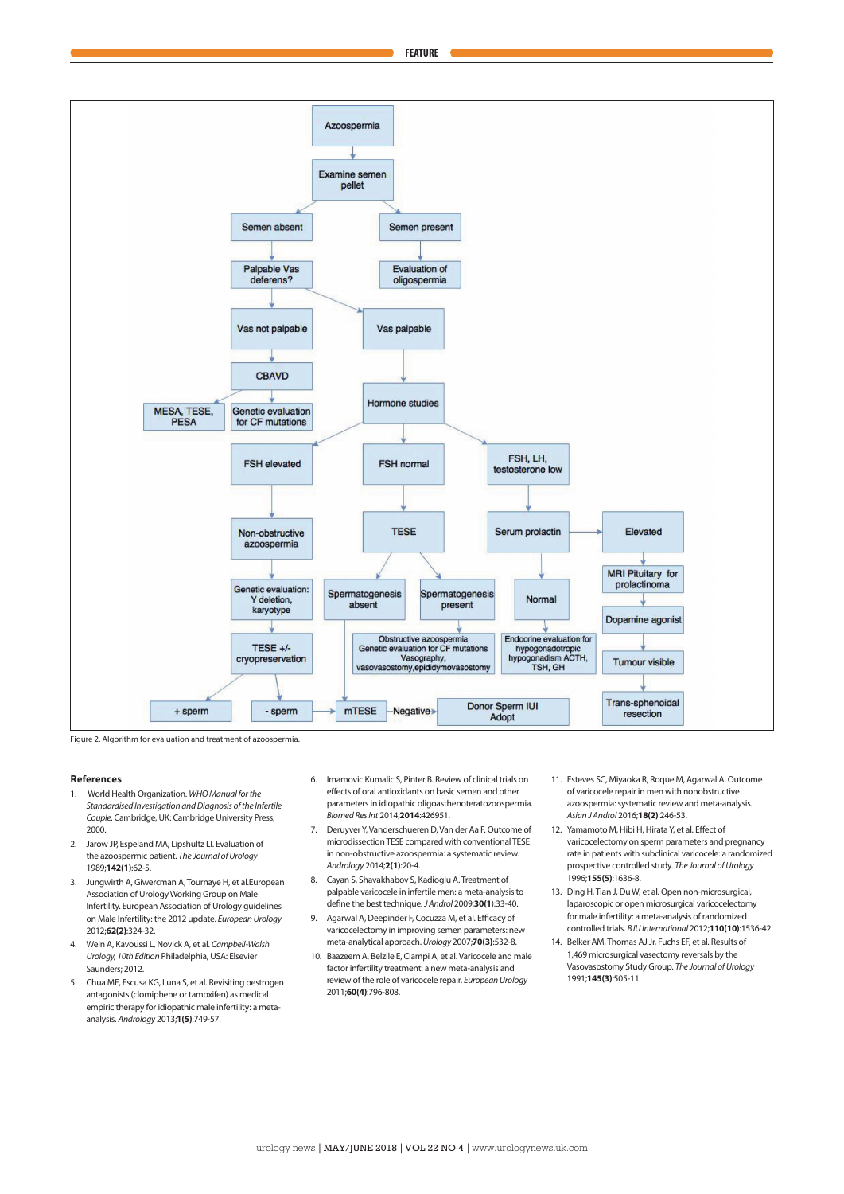

Figure 2. Algorithm for evaluation and treatment of azoospermia.

#### **References**

- 1. World Health Organization. *WHO Manual for the Standardised Investigation and Diagnosis of the Infertile Couple.* Cambridge, UK: Cambridge University Press; 2000.
- 2. Jarow JP, Espeland MA, Lipshultz LI. Evaluation of the azoospermic patient. *The Journal of Urology* 1989;**142(1)**:62-5.
- 3. Jungwirth A, Giwercman A, Tournaye H, et al.European Association of Urology Working Group on Male Infertility. European Association of Urology guidelines on Male Infertility: the 2012 update. *European Urology*  2012;**62(2)**:324-32.
- 4. Wein A, Kavoussi L, Novick A, et al. *Campbell-Walsh Urology, 10th Edition* Philadelphia, USA: Elsevier Saunders; 2012.
- 5. Chua ME, Escusa KG, Luna S, et al. Revisiting oestrogen antagonists (clomiphene or tamoxifen) as medical empiric therapy for idiopathic male infertility: a metaanalysis. *Andrology* 2013;**1(5)**:749-57.
- 6. Imamovic Kumalic S, Pinter B. Review of clinical trials on effects of oral antioxidants on basic semen and other parameters in idiopathic oligoasthenoteratozoospermia. *Biomed Res Int* 2014;**2014**:426951.
- 7. Deruyver Y, Vanderschueren D, Van der Aa F. Outcome of microdissection TESE compared with conventional TESE in non-obstructive azoospermia: a systematic review. *Andrology* 2014;**2(1)**:20-4.
- 8. Cayan S, Shavakhabov S, Kadioglu A. Treatment of palpable varicocele in infertile men: a meta-analysis to define the best technique. *J Androl* 2009;**30(1**):33-40.
- 9. Agarwal A, Deepinder F, Cocuzza M, et al. Efficacy of varicocelectomy in improving semen parameters: new meta-analytical approach. *Urology* 2007;**70(3)**:532-8.
- 10. Baazeem A, Belzile E, Ciampi A, et al. Varicocele and male factor infertility treatment: a new meta-analysis and review of the role of varicocele repair. *European Urology* 2011;**60(4)**:796-808.
- 11. Esteves SC, Miyaoka R, Roque M, Agarwal A. Outcome of varicocele repair in men with nonobstructive azoospermia: systematic review and meta-analysis. *Asian J Androl* 2016;**18(2)**:246-53.
- 12. Yamamoto M, Hibi H, Hirata Y, et al. Effect of varicocelectomy on sperm parameters and pregnancy rate in patients with subclinical varicocele: a randomized prospective controlled study. *The Journal of Urology*  1996;**155(5)**:1636-8.
- 13. Ding H, Tian J, Du W, et al. Open non-microsurgical, laparoscopic or open microsurgical varicocelectomy for male infertility: a meta-analysis of randomized controlled trials. *BJU International* 2012;**110(10)**:1536-42.
- 14. Belker AM, Thomas AJ Jr, Fuchs EF, et al. Results of 1,469 microsurgical vasectomy reversals by the Vasovasostomy Study Group. *The Journal of Urology*  1991;**145(3)**:505-11.